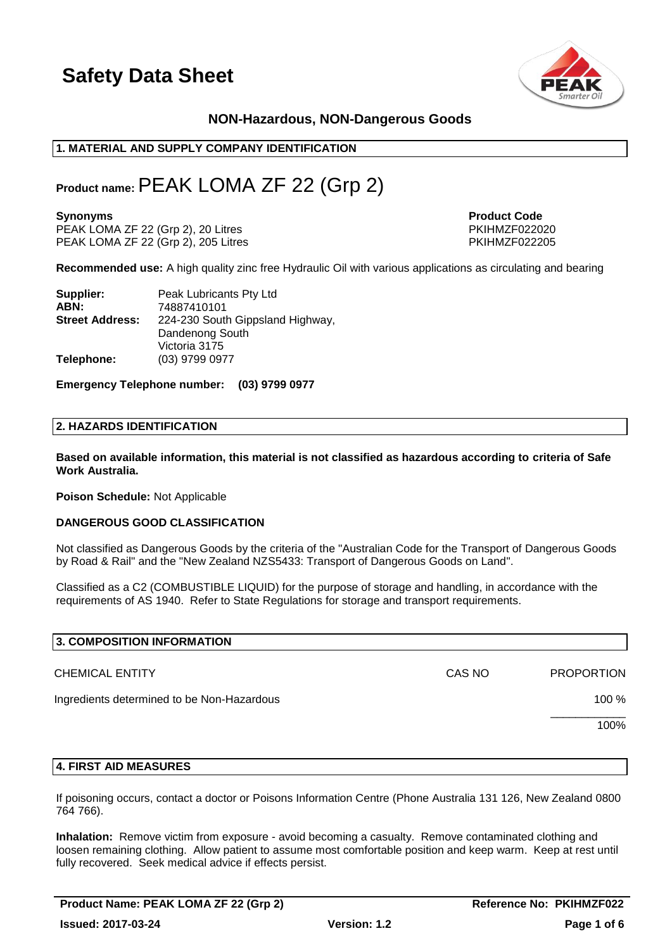

# **NON-Hazardous, NON-Dangerous Goods**

# **1. MATERIAL AND SUPPLY COMPANY IDENTIFICATION**

# **Product name:**PEAK LOMA ZF 22 (Grp 2)

PEAK LOMA ZF 22 (Grp 2), 20 Litres PKIHMZF022020<br>PEAK LOMA ZF 22 (Grp 2), 205 Litres PKIHMZF022205  $PEAK LOMA ZF 22 (Grp 2), 205 Litres$ 

**Synonyms Product Code** 

**Recommended use:** A high quality zinc free Hydraulic Oil with various applications as circulating and bearing

| Supplier:              | Peak Lubricants Pty Ltd          |
|------------------------|----------------------------------|
| ABN:                   | 74887410101                      |
| <b>Street Address:</b> | 224-230 South Gippsland Highway, |
|                        | Dandenong South                  |
|                        | Victoria 3175                    |
| Telephone:             | (03) 9799 0977                   |

**Emergency Telephone number: (03) 9799 0977**

#### **2. HAZARDS IDENTIFICATION**

**Based on available information, this material is not classified as hazardous according to criteria of Safe Work Australia.**

**Poison Schedule:** Not Applicable

#### **DANGEROUS GOOD CLASSIFICATION**

Not classified as Dangerous Goods by the criteria of the "Australian Code for the Transport of Dangerous Goods by Road & Rail" and the "New Zealand NZS5433: Transport of Dangerous Goods on Land".

Classified as a C2 (COMBUSTIBLE LIQUID) for the purpose of storage and handling, in accordance with the requirements of AS 1940. Refer to State Regulations for storage and transport requirements.

| 3. COMPOSITION INFORMATION                 |        |                   |
|--------------------------------------------|--------|-------------------|
| <b>CHEMICAL ENTITY</b>                     | CAS NO | <b>PROPORTION</b> |
| Ingredients determined to be Non-Hazardous |        | 100 %             |
|                                            |        | 100%              |
|                                            |        |                   |

#### **4. FIRST AID MEASURES**

If poisoning occurs, contact a doctor or Poisons Information Centre (Phone Australia 131 126, New Zealand 0800 764 766).

**Inhalation:** Remove victim from exposure - avoid becoming a casualty. Remove contaminated clothing and loosen remaining clothing. Allow patient to assume most comfortable position and keep warm. Keep at rest until fully recovered. Seek medical advice if effects persist.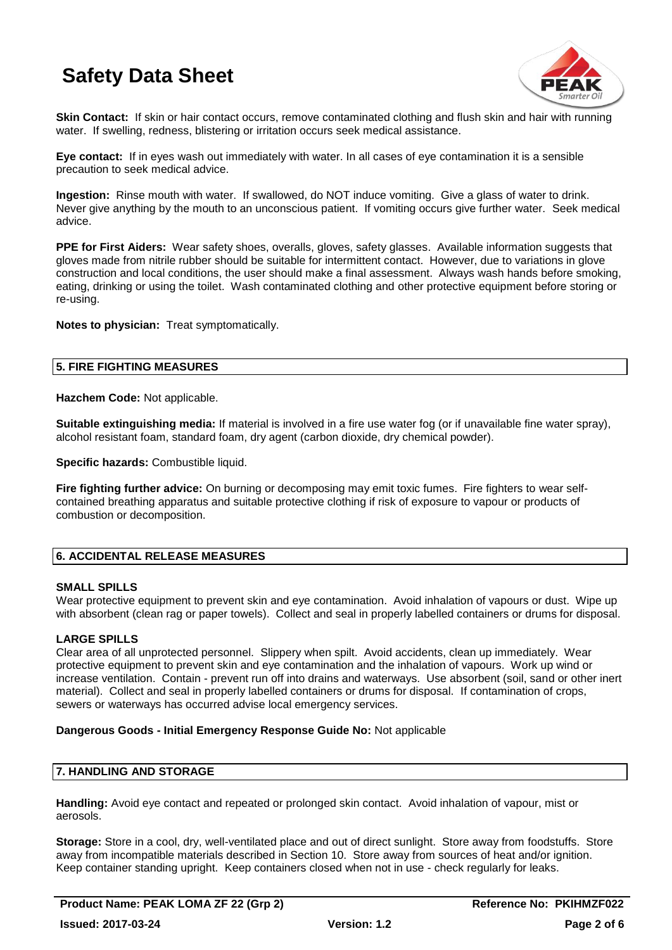

**Skin Contact:** If skin or hair contact occurs, remove contaminated clothing and flush skin and hair with running water. If swelling, redness, blistering or irritation occurs seek medical assistance.

**Eye contact:** If in eyes wash out immediately with water. In all cases of eye contamination it is a sensible precaution to seek medical advice.

**Ingestion:** Rinse mouth with water. If swallowed, do NOT induce vomiting. Give a glass of water to drink. Never give anything by the mouth to an unconscious patient. If vomiting occurs give further water. Seek medical advice.

**PPE for First Aiders:** Wear safety shoes, overalls, gloves, safety glasses. Available information suggests that gloves made from nitrile rubber should be suitable for intermittent contact. However, due to variations in glove construction and local conditions, the user should make a final assessment. Always wash hands before smoking, eating, drinking or using the toilet. Wash contaminated clothing and other protective equipment before storing or re-using.

**Notes to physician:** Treat symptomatically.

### **5. FIRE FIGHTING MEASURES**

**Hazchem Code:** Not applicable.

**Suitable extinguishing media:** If material is involved in a fire use water fog (or if unavailable fine water spray), alcohol resistant foam, standard foam, dry agent (carbon dioxide, dry chemical powder).

**Specific hazards:** Combustible liquid.

**Fire fighting further advice:** On burning or decomposing may emit toxic fumes. Fire fighters to wear selfcontained breathing apparatus and suitable protective clothing if risk of exposure to vapour or products of combustion or decomposition.

# **6. ACCIDENTAL RELEASE MEASURES**

### **SMALL SPILLS**

Wear protective equipment to prevent skin and eye contamination. Avoid inhalation of vapours or dust. Wipe up with absorbent (clean rag or paper towels). Collect and seal in properly labelled containers or drums for disposal.

### **LARGE SPILLS**

Clear area of all unprotected personnel. Slippery when spilt. Avoid accidents, clean up immediately. Wear protective equipment to prevent skin and eye contamination and the inhalation of vapours. Work up wind or increase ventilation. Contain - prevent run off into drains and waterways. Use absorbent (soil, sand or other inert material). Collect and seal in properly labelled containers or drums for disposal. If contamination of crops, sewers or waterways has occurred advise local emergency services.

### **Dangerous Goods - Initial Emergency Response Guide No:** Not applicable

# **7. HANDLING AND STORAGE**

**Handling:** Avoid eye contact and repeated or prolonged skin contact. Avoid inhalation of vapour, mist or aerosols.

**Storage:** Store in a cool, dry, well-ventilated place and out of direct sunlight. Store away from foodstuffs. Store away from incompatible materials described in Section 10. Store away from sources of heat and/or ignition. Keep container standing upright. Keep containers closed when not in use - check regularly for leaks.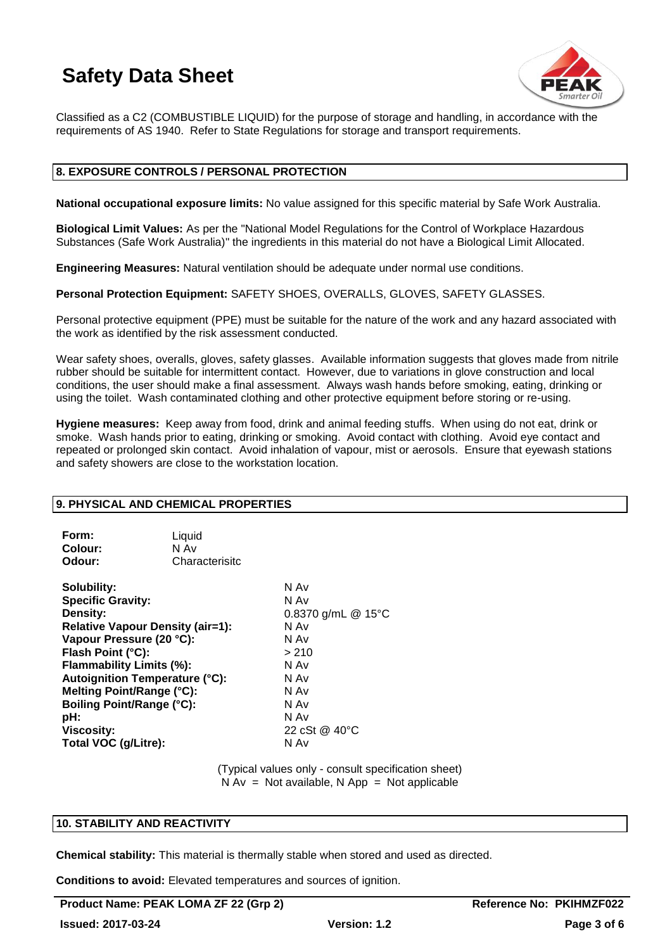

Classified as a C2 (COMBUSTIBLE LIQUID) for the purpose of storage and handling, in accordance with the requirements of AS 1940. Refer to State Regulations for storage and transport requirements.

### **8. EXPOSURE CONTROLS / PERSONAL PROTECTION**

**National occupational exposure limits:** No value assigned for this specific material by Safe Work Australia.

**Biological Limit Values:** As per the "National Model Regulations for the Control of Workplace Hazardous Substances (Safe Work Australia)" the ingredients in this material do not have a Biological Limit Allocated.

**Engineering Measures:** Natural ventilation should be adequate under normal use conditions.

**Personal Protection Equipment:** SAFETY SHOES, OVERALLS, GLOVES, SAFETY GLASSES.

Personal protective equipment (PPE) must be suitable for the nature of the work and any hazard associated with the work as identified by the risk assessment conducted.

Wear safety shoes, overalls, gloves, safety glasses. Available information suggests that gloves made from nitrile rubber should be suitable for intermittent contact. However, due to variations in glove construction and local conditions, the user should make a final assessment. Always wash hands before smoking, eating, drinking or using the toilet. Wash contaminated clothing and other protective equipment before storing or re-using.

**Hygiene measures:** Keep away from food, drink and animal feeding stuffs. When using do not eat, drink or smoke. Wash hands prior to eating, drinking or smoking. Avoid contact with clothing. Avoid eye contact and repeated or prolonged skin contact. Avoid inhalation of vapour, mist or aerosols. Ensure that eyewash stations and safety showers are close to the workstation location.

### **9. PHYSICAL AND CHEMICAL PROPERTIES**

| Form:   | Liquid         |
|---------|----------------|
| Colour: | N Av           |
| Odour:  | Characterisitc |

| Solubility:                             | N Av               |
|-----------------------------------------|--------------------|
| <b>Specific Gravity:</b>                | N Av               |
| Density:                                | 0.8370 g/mL @ 15°C |
| <b>Relative Vapour Density (air=1):</b> | N Av               |
| Vapour Pressure (20 °C):                | N Av               |
| Flash Point (°C):                       | > 210              |
| Flammability Limits (%):                | N Av               |
| <b>Autoignition Temperature (°C):</b>   | N Av               |
| Melting Point/Range (°C):               | N Av               |
| <b>Boiling Point/Range (°C):</b>        | N Av               |
| pH:                                     | N Av               |
| <b>Viscosity:</b>                       | 22 cSt @ 40 °C     |
| Total VOC (g/Litre):                    | N Av               |
|                                         |                    |

(Typical values only - consult specification sheet)  $N Av = Not available, N App = Not applicable$ 

### **10. STABILITY AND REACTIVITY**

**Chemical stability:** This material is thermally stable when stored and used as directed.

**Conditions to avoid:** Elevated temperatures and sources of ignition.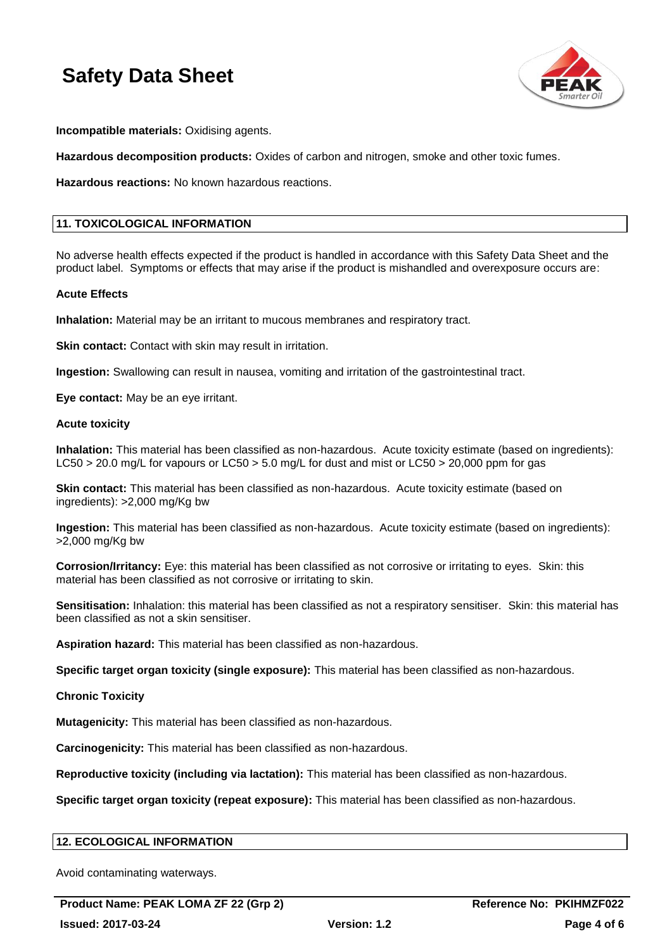

**Incompatible materials:** Oxidising agents.

**Hazardous decomposition products:** Oxides of carbon and nitrogen, smoke and other toxic fumes.

**Hazardous reactions:** No known hazardous reactions.

# **11. TOXICOLOGICAL INFORMATION**

No adverse health effects expected if the product is handled in accordance with this Safety Data Sheet and the product label. Symptoms or effects that may arise if the product is mishandled and overexposure occurs are:

#### **Acute Effects**

**Inhalation:** Material may be an irritant to mucous membranes and respiratory tract.

**Skin contact:** Contact with skin may result in irritation.

**Ingestion:** Swallowing can result in nausea, vomiting and irritation of the gastrointestinal tract.

**Eye contact:** May be an eye irritant.

#### **Acute toxicity**

**Inhalation:** This material has been classified as non-hazardous. Acute toxicity estimate (based on ingredients): LC50 > 20.0 mg/L for vapours or LC50 > 5.0 mg/L for dust and mist or LC50 > 20,000 ppm for gas

**Skin contact:** This material has been classified as non-hazardous. Acute toxicity estimate (based on ingredients): >2,000 mg/Kg bw

**Ingestion:** This material has been classified as non-hazardous. Acute toxicity estimate (based on ingredients): >2,000 mg/Kg bw

**Corrosion/Irritancy:** Eye: this material has been classified as not corrosive or irritating to eyes. Skin: this material has been classified as not corrosive or irritating to skin.

**Sensitisation:** Inhalation: this material has been classified as not a respiratory sensitiser. Skin: this material has been classified as not a skin sensitiser.

**Aspiration hazard:** This material has been classified as non-hazardous.

**Specific target organ toxicity (single exposure):** This material has been classified as non-hazardous.

**Chronic Toxicity**

**Mutagenicity:** This material has been classified as non-hazardous.

**Carcinogenicity:** This material has been classified as non-hazardous.

**Reproductive toxicity (including via lactation):** This material has been classified as non-hazardous.

**Specific target organ toxicity (repeat exposure):** This material has been classified as non-hazardous.

### **12. ECOLOGICAL INFORMATION**

Avoid contaminating waterways.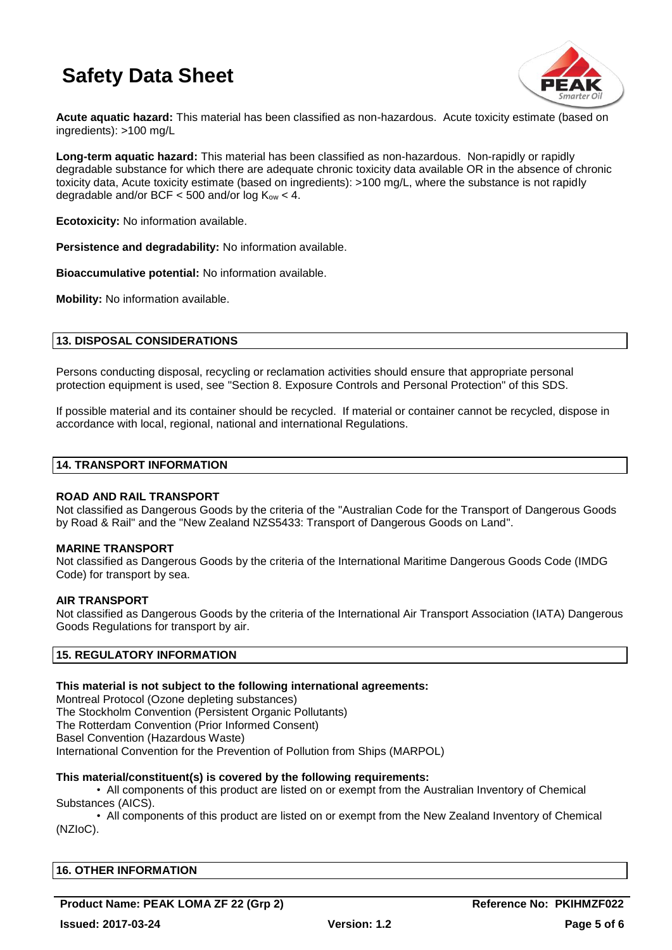

**Acute aquatic hazard:** This material has been classified as non-hazardous. Acute toxicity estimate (based on ingredients): >100 mg/L

**Long-term aquatic hazard:** This material has been classified as non-hazardous. Non-rapidly or rapidly degradable substance for which there are adequate chronic toxicity data available OR in the absence of chronic toxicity data, Acute toxicity estimate (based on ingredients): >100 mg/L, where the substance is not rapidly degradable and/or BCF  $<$  500 and/or log  $K_{ow}$   $<$  4.

**Ecotoxicity:** No information available.

**Persistence and degradability:** No information available.

**Bioaccumulative potential:** No information available.

**Mobility:** No information available.

## **13. DISPOSAL CONSIDERATIONS**

Persons conducting disposal, recycling or reclamation activities should ensure that appropriate personal protection equipment is used, see "Section 8. Exposure Controls and Personal Protection" of this SDS.

If possible material and its container should be recycled. If material or container cannot be recycled, dispose in accordance with local, regional, national and international Regulations.

#### **14. TRANSPORT INFORMATION**

#### **ROAD AND RAIL TRANSPORT**

Not classified as Dangerous Goods by the criteria of the "Australian Code for the Transport of Dangerous Goods by Road & Rail" and the "New Zealand NZS5433: Transport of Dangerous Goods on Land".

#### **MARINE TRANSPORT**

Not classified as Dangerous Goods by the criteria of the International Maritime Dangerous Goods Code (IMDG Code) for transport by sea.

#### **AIR TRANSPORT**

Not classified as Dangerous Goods by the criteria of the International Air Transport Association (IATA) Dangerous Goods Regulations for transport by air.

### **15. REGULATORY INFORMATION**

#### **This material is not subject to the following international agreements:**

Montreal Protocol (Ozone depleting substances) The Stockholm Convention (Persistent Organic Pollutants) The Rotterdam Convention (Prior Informed Consent) Basel Convention (Hazardous Waste) International Convention for the Prevention of Pollution from Ships (MARPOL)

#### **This material/constituent(s) is covered by the following requirements:**

• All components of this product are listed on or exempt from the Australian Inventory of Chemical Substances (AICS).

• All components of this product are listed on or exempt from the New Zealand Inventory of Chemical (NZIoC).

| <b>16. OTHER INFORMATION</b> |  |  |
|------------------------------|--|--|
|                              |  |  |